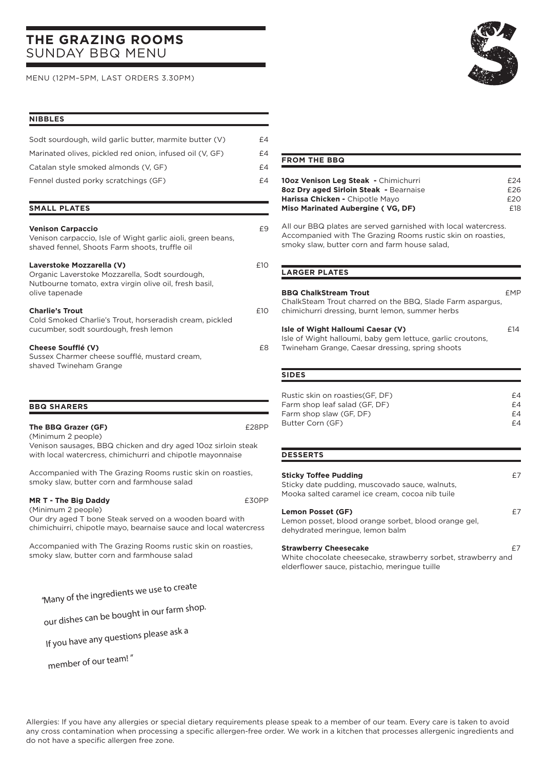# **THE GRAZING ROOMS**  SUNDAY BBQ MENU

MENU (12PM–5PM, LAST ORDERS 3.30PM)

# **NIBBLES**

| Sodt sourdough, wild garlic butter, marmite butter (V)   | £4 |
|----------------------------------------------------------|----|
| Marinated olives, pickled red onion, infused oil (V, GF) | £4 |
| Catalan style smoked almonds (V. GF)                     | £4 |
| Fennel dusted porky scratchings (GF)                     | £4 |

### **SMALL PLATES**

| <b>Venison Carpaccio</b><br>Venison carpaccio, Isle of Wight garlic aioli, green beans,<br>shaved fennel. Shoots Farm shoots, truffle oil               | £9  |
|---------------------------------------------------------------------------------------------------------------------------------------------------------|-----|
| Laverstoke Mozzarella (V)<br>Organic Laverstoke Mozzarella, Sodt sourdough,<br>Nutbourne tomato, extra virgin olive oil, fresh basil,<br>olive tapenade | £10 |
| <b>Charlie's Trout</b><br>Cold Smoked Charlie's Trout, horseradish cream, pickled<br>cucumber, sodt sourdough, fresh lemon                              | £10 |
| Cheese Soufflé (V)<br>Sussex Charmer cheese soufflé, mustard cream,<br>shaved Twineham Grange                                                           | £8  |

#### **BBQ SHARERS**

| The BBQ Grazer (GF)                                           | £28PP |
|---------------------------------------------------------------|-------|
| (Minimum 2 people)                                            |       |
| Venison sausages, BBQ chicken and dry aged 10oz sirloin steak |       |
| with local watercress, chimichurri and chipotle mayonnaise    |       |

Accompanied with The Grazing Rooms rustic skin on roasties, smoky slaw, butter corn and farmhouse salad

### **MR T - The Big Daddy E30PP**

(Minimum 2 people) Our dry aged T bone Steak served on a wooden board with chimichuirri, chipotle mayo, bearnaise sauce and local watercress

Accompanied with The Grazing Rooms rustic skin on roasties, smoky slaw, butter corn and farmhouse salad

"Many of the ingredients we use to create

our dishes can be bought in our farm shop.

If you have any questions please ask a

member of our team! "

## **FROM THE BBQ**

| 10oz Venison Leg Steak - Chimichurri   | f24 |
|----------------------------------------|-----|
| 8oz Dry aged Sirloin Steak - Bearnaise | £26 |
| Harissa Chicken - Chipotle Mayo        | f20 |
| Miso Marinated Aubergine (VG. DF)      | F18 |

All our BBQ plates are served garnished with local watercress. Accompanied with The Grazing Rooms rustic skin on roasties, smoky slaw, butter corn and farm house salad,

#### **LARGER PLATES**

| <b>BBQ ChalkStream Trout</b><br>ChalkSteam Trout charred on the BBQ, Slade Farm aspargus,<br>chimichurri dressing, burnt lemon, summer herbs       | fMÞ |
|----------------------------------------------------------------------------------------------------------------------------------------------------|-----|
| Isle of Wight Halloumi Caesar (V)<br>Isle of Wight halloumi, baby gem lettuce, garlic croutons,<br>Twineham Grange, Caesar dressing, spring shoots | f14 |

#### **SIDES**

| Rustic skin on roasties (GF, DF) | £4 |
|----------------------------------|----|
| Farm shop leaf salad (GF, DF)    | £4 |
| Farm shop slaw (GF, DF)          | £4 |
| Butter Corn (GF)                 | £4 |
|                                  |    |

#### **DESSERTS**

# **Sticky Toffee Pudding**  $E7$

Sticky date pudding, muscovado sauce, walnuts, Mooka salted caramel ice cream, cocoa nib tuile

#### **Lemon Posset (GF)**  $E7$

Lemon posset, blood orange sorbet, blood orange gel, dehydrated meringue, lemon balm

#### **Strawberry Cheesecake E7**

White chocolate cheesecake, strawberry sorbet, strawberry and elderflower sauce, pistachio, meringue tuille

Allergies: If you have any allergies or special dietary requirements please speak to a member of our team. Every care is taken to avoid any cross contamination when processing a specific allergen-free order. We work in a kitchen that processes allergenic ingredients and do not have a specific allergen free zone.